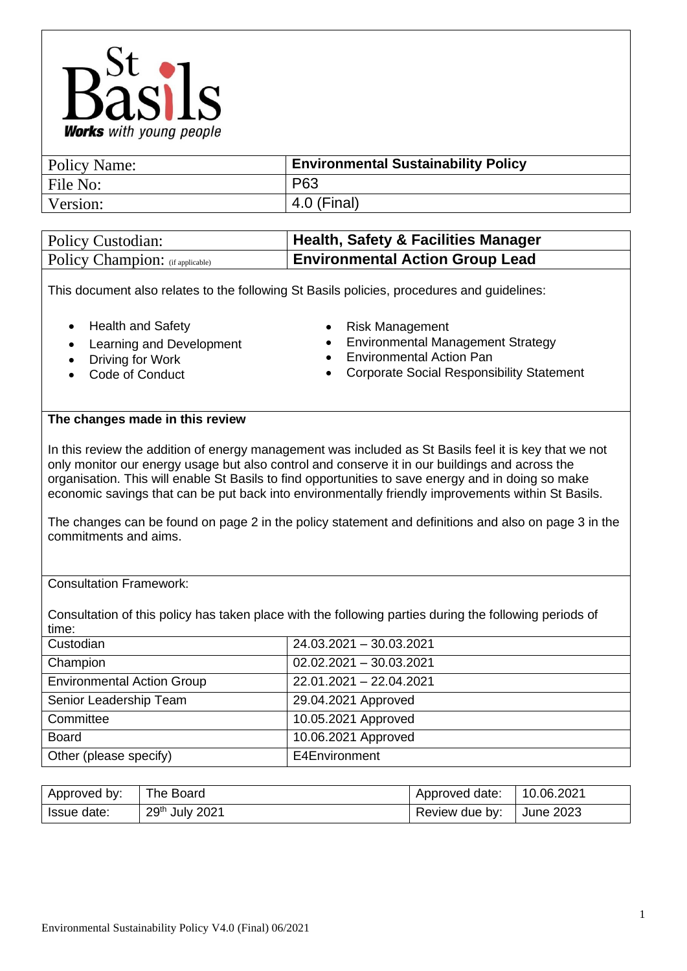

| Policy Name: | <b>Environmental Sustainability Policy</b> |
|--------------|--------------------------------------------|
| File No:     | P63                                        |
| Version:     | 4.0 (Final)                                |
|              |                                            |

| <b>Policy Custodian:</b>         | <b>Health, Safety &amp; Facilities Manager</b> |
|----------------------------------|------------------------------------------------|
| Policy Champion: (if applicable) | <b>Environmental Action Group Lead</b>         |

This document also relates to the following St Basils policies, procedures and guidelines:

- Health and Safety
- Learning and Development
- Driving for Work
- Code of Conduct
- Risk Management
- Environmental Management Strategy
- Environmental Action Pan
- Corporate Social Responsibility Statement

## **The changes made in this review**

In this review the addition of energy management was included as St Basils feel it is key that we not only monitor our energy usage but also control and conserve it in our buildings and across the organisation. This will enable St Basils to find opportunities to save energy and in doing so make economic savings that can be put back into environmentally friendly improvements within St Basils.

The changes can be found on page 2 in the policy statement and definitions and also on page 3 in the commitments and aims.

## Consultation Framework:

Consultation of this policy has taken place with the following parties during the following periods of time:

| Custodian                         | 24.03.2021 - 30.03.2021   |
|-----------------------------------|---------------------------|
| Champion                          | $02.02.2021 - 30.03.2021$ |
| <b>Environmental Action Group</b> | 22.01.2021 - 22.04.2021   |
| Senior Leadership Team            | 29.04.2021 Approved       |
| Committee                         | 10.05.2021 Approved       |
| <b>Board</b>                      | 10.06.2021 Approved       |
| Other (please specify)            | E4Environment             |

| Approved by: | The Board      | Approved date: | 10.06.2021 |
|--------------|----------------|----------------|------------|
| Issue date:  | 29th July 2021 | Review due by: | June 2023  |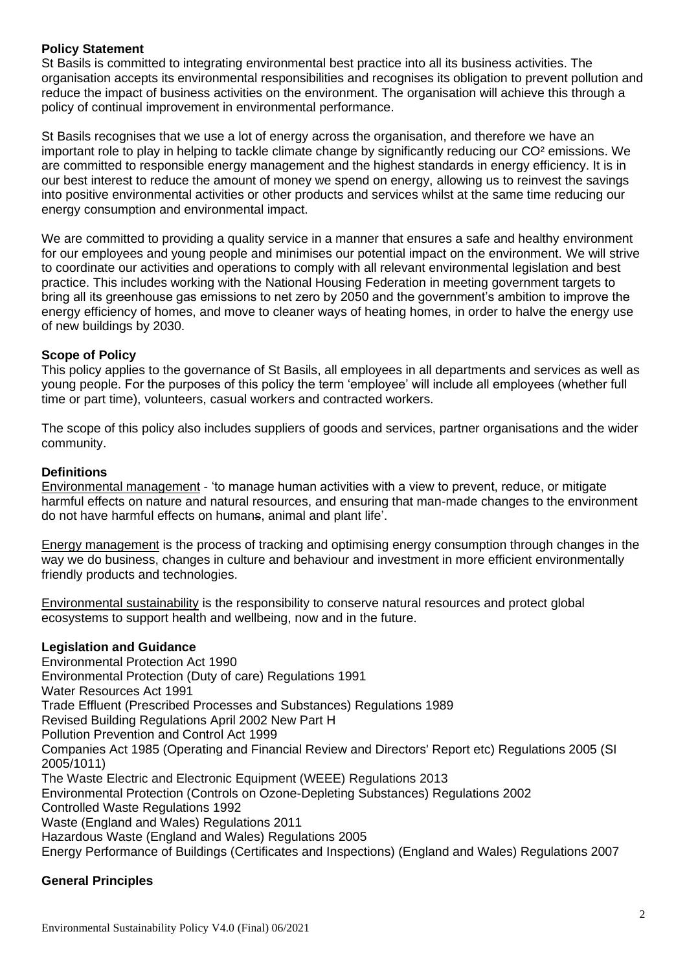# **Policy Statement**

St Basils is committed to integrating environmental best practice into all its business activities. The organisation accepts its environmental responsibilities and recognises its obligation to prevent pollution and reduce the impact of business activities on the environment. The organisation will achieve this through a policy of continual improvement in environmental performance.

St Basils recognises that we use a lot of energy across the organisation, and therefore we have an important role to play in helping to tackle climate change by significantly reducing our CO² emissions. We are committed to responsible energy management and the highest standards in energy efficiency. It is in our best interest to reduce the amount of money we spend on energy, allowing us to reinvest the savings into positive environmental activities or other products and services whilst at the same time reducing our energy consumption and environmental impact.

We are committed to providing a quality service in a manner that ensures a safe and healthy environment for our employees and young people and minimises our potential impact on the environment. We will strive to coordinate our activities and operations to comply with all relevant environmental legislation and best practice. This includes working with the National Housing Federation in meeting government targets to bring all its greenhouse gas emissions to net zero by 2050 and the government's ambition to improve the energy efficiency of homes, and move to cleaner ways of heating homes, in order to halve the energy use of new buildings by 2030.

# **Scope of Policy**

This policy applies to the governance of St Basils, all employees in all departments and services as well as young people. For the purposes of this policy the term 'employee' will include all employees (whether full time or part time), volunteers, casual workers and contracted workers.

The scope of this policy also includes suppliers of goods and services, partner organisations and the wider community.

# **Definitions**

Environmental management - 'to manage human activities with a view to prevent, reduce, or mitigate harmful effects on nature and natural resources, and ensuring that man-made changes to the environment do not have harmful effects on humans, animal and plant life'.

Energy management is the process of tracking and optimising energy consumption through changes in the way we do business, changes in culture and behaviour and investment in more efficient environmentally friendly products and technologies.

Environmental sustainability is the responsibility to conserve natural resources and protect global ecosystems to support health and wellbeing, now and in the future.

## **Legislation and Guidance**

Environmental Protection Act 1990 Environmental Protection (Duty of care) Regulations 1991 Water Resources Act 1991 Trade Effluent (Prescribed Processes and Substances) Regulations 1989 Revised Building Regulations April 2002 New Part H Pollution Prevention and Control Act 1999 Companies Act 1985 (Operating and Financial Review and Directors' Report etc) Regulations 2005 (SI 2005/1011) The Waste Electric and Electronic Equipment (WEEE) Regulations 2013 Environmental Protection (Controls on Ozone-Depleting Substances) Regulations 2002 Controlled Waste Regulations 1992 Waste (England and Wales) Regulations 2011 Hazardous Waste (England and Wales) Regulations 2005 Energy Performance of Buildings (Certificates and Inspections) (England and Wales) Regulations 2007

# **General Principles**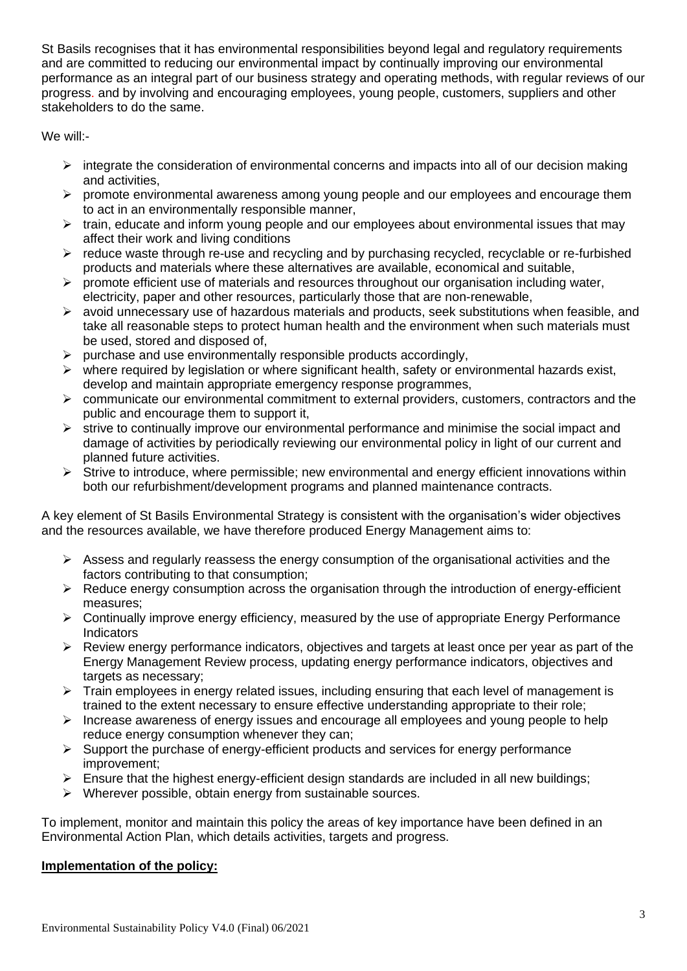St Basils recognises that it has environmental responsibilities beyond legal and regulatory requirements and are committed to reducing our environmental impact by continually improving our environmental performance as an integral part of our business strategy and operating methods, with regular reviews of our progress. and by involving and encouraging employees, young people, customers, suppliers and other stakeholders to do the same.

We will:-

- $\triangleright$  integrate the consideration of environmental concerns and impacts into all of our decision making and activities,
- ➢ promote environmental awareness among young people and our employees and encourage them to act in an environmentally responsible manner,
- $\triangleright$  train, educate and inform young people and our employees about environmental issues that may affect their work and living conditions
- ➢ reduce waste through re-use and recycling and by purchasing recycled, recyclable or re-furbished products and materials where these alternatives are available, economical and suitable,
- $\triangleright$  promote efficient use of materials and resources throughout our organisation including water, electricity, paper and other resources, particularly those that are non-renewable,
- $\triangleright$  avoid unnecessary use of hazardous materials and products, seek substitutions when feasible, and take all reasonable steps to protect human health and the environment when such materials must be used, stored and disposed of,
- $\triangleright$  purchase and use environmentally responsible products accordingly,
- $\triangleright$  where required by legislation or where significant health, safety or environmental hazards exist, develop and maintain appropriate emergency response programmes,
- ➢ communicate our environmental commitment to external providers, customers, contractors and the public and encourage them to support it,
- ➢ strive to continually improve our environmental performance and minimise the social impact and damage of activities by periodically reviewing our environmental policy in light of our current and planned future activities.
- $\triangleright$  Strive to introduce, where permissible; new environmental and energy efficient innovations within both our refurbishment/development programs and planned maintenance contracts.

A key element of St Basils Environmental Strategy is consistent with the organisation's wider objectives and the resources available, we have therefore produced Energy Management aims to:

- $\triangleright$  Assess and regularly reassess the energy consumption of the organisational activities and the factors contributing to that consumption;
- ➢ Reduce energy consumption across the organisation through the introduction of energy-efficient measures;
- ➢ Continually improve energy efficiency, measured by the use of appropriate Energy Performance **Indicators**
- $\triangleright$  Review energy performance indicators, objectives and targets at least once per year as part of the Energy Management Review process, updating energy performance indicators, objectives and targets as necessary;
- $\triangleright$  Train employees in energy related issues, including ensuring that each level of management is trained to the extent necessary to ensure effective understanding appropriate to their role;
- $\triangleright$  Increase awareness of energy issues and encourage all employees and young people to help reduce energy consumption whenever they can;
- ➢ Support the purchase of energy-efficient products and services for energy performance improvement;
- $\triangleright$  Ensure that the highest energy-efficient design standards are included in all new buildings;
- ➢ Wherever possible, obtain energy from sustainable sources.

To implement, monitor and maintain this policy the areas of key importance have been defined in an Environmental Action Plan, which details activities, targets and progress.

# **Implementation of the policy:**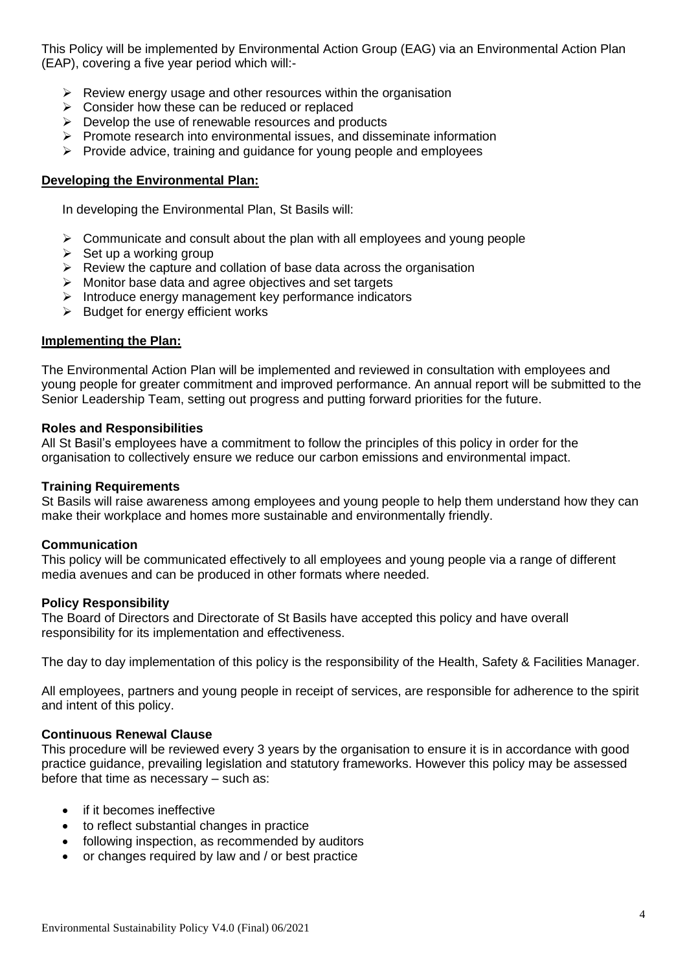This Policy will be implemented by Environmental Action Group (EAG) via an Environmental Action Plan (EAP), covering a five year period which will:-

- $\triangleright$  Review energy usage and other resources within the organisation
- ➢ Consider how these can be reduced or replaced
- $\triangleright$  Develop the use of renewable resources and products
- $\triangleright$  Promote research into environmental issues, and disseminate information
- $\triangleright$  Provide advice, training and guidance for young people and employees

## **Developing the Environmental Plan:**

In developing the Environmental Plan, St Basils will:

- $\triangleright$  Communicate and consult about the plan with all employees and young people
- $\triangleright$  Set up a working group
- $\triangleright$  Review the capture and collation of base data across the organisation
- ➢ Monitor base data and agree objectives and set targets
- ➢ Introduce energy management key performance indicators
- ➢ Budget for energy efficient works

## **Implementing the Plan:**

The Environmental Action Plan will be implemented and reviewed in consultation with employees and young people for greater commitment and improved performance. An annual report will be submitted to the Senior Leadership Team, setting out progress and putting forward priorities for the future.

## **Roles and Responsibilities**

All St Basil's employees have a commitment to follow the principles of this policy in order for the organisation to collectively ensure we reduce our carbon emissions and environmental impact.

## **Training Requirements**

St Basils will raise awareness among employees and young people to help them understand how they can make their workplace and homes more sustainable and environmentally friendly.

## **Communication**

This policy will be communicated effectively to all employees and young people via a range of different media avenues and can be produced in other formats where needed.

## **Policy Responsibility**

The Board of Directors and Directorate of St Basils have accepted this policy and have overall responsibility for its implementation and effectiveness.

The day to day implementation of this policy is the responsibility of the Health, Safety & Facilities Manager.

All employees, partners and young people in receipt of services, are responsible for adherence to the spirit and intent of this policy.

## **Continuous Renewal Clause**

This procedure will be reviewed every 3 years by the organisation to ensure it is in accordance with good practice guidance, prevailing legislation and statutory frameworks. However this policy may be assessed before that time as necessary – such as:

- if it becomes ineffective
- to reflect substantial changes in practice
- following inspection, as recommended by auditors
- or changes required by law and / or best practice